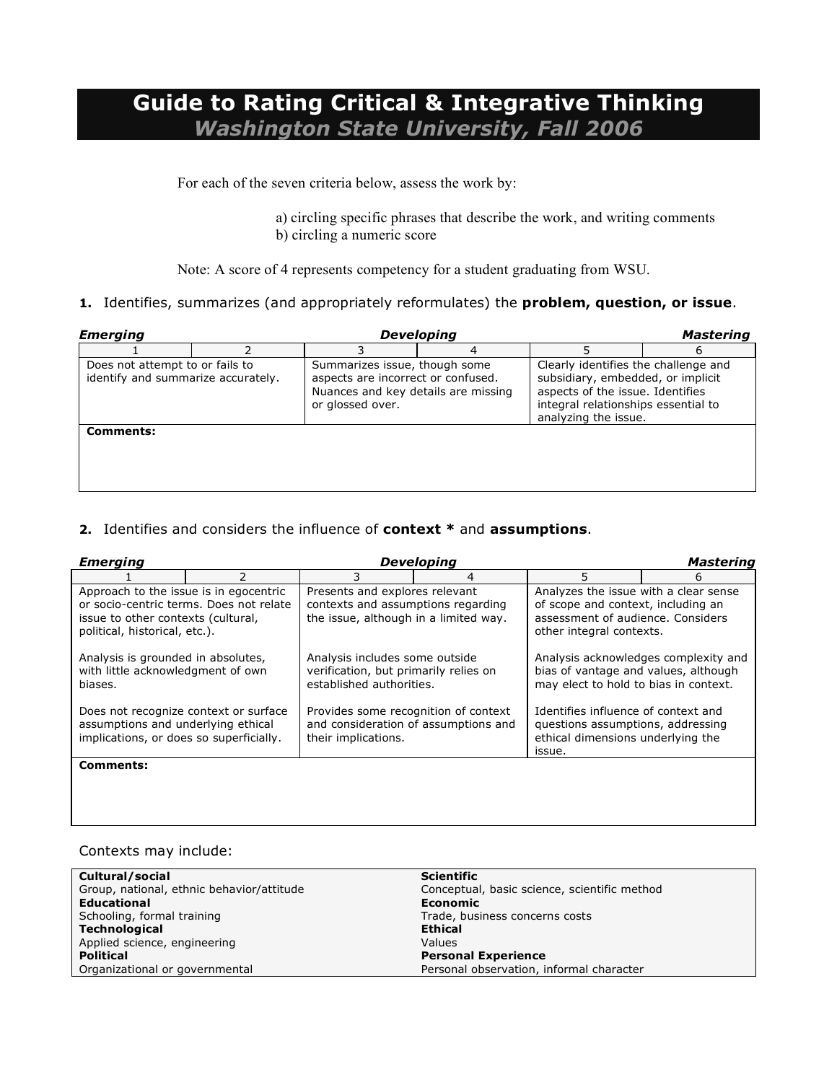# **Guide to Rating Critical & Integrative Thinking** *Washington State University, Fall 2006*

For each of the seven criteria below, assess the work by:

a) circling specific phrases that describe the work, and writing comments b) circling a numeric score

Note: A score of 4 represents competency for a student graduating from WSU.

#### **1.** Identifies, summarizes (and appropriately reformulates) the **problem, question, or issue**.

| <b>Emerging</b>                                                       |                                                                                                                                | <b>Developing</b> |                                                                                                                                                                              | <b>Mastering</b> |
|-----------------------------------------------------------------------|--------------------------------------------------------------------------------------------------------------------------------|-------------------|------------------------------------------------------------------------------------------------------------------------------------------------------------------------------|------------------|
|                                                                       |                                                                                                                                |                   |                                                                                                                                                                              |                  |
| Does not attempt to or fails to<br>identify and summarize accurately. | Summarizes issue, though some<br>aspects are incorrect or confused.<br>Nuances and key details are missing<br>or glossed over. |                   | Clearly identifies the challenge and<br>subsidiary, embedded, or implicit<br>aspects of the issue. Identifies<br>integral relationships essential to<br>analyzing the issue. |                  |
| Comments:                                                             |                                                                                                                                |                   |                                                                                                                                                                              |                  |

#### **2.** Identifies and considers the influence of **context \*** and **assumptions**.

| <b>Emerging</b>                                                                                                                                          | <b>Developing</b> |                                                                                                               |   |                                                                                                                                              |   |
|----------------------------------------------------------------------------------------------------------------------------------------------------------|-------------------|---------------------------------------------------------------------------------------------------------------|---|----------------------------------------------------------------------------------------------------------------------------------------------|---|
|                                                                                                                                                          | $\mathcal{P}$     |                                                                                                               | 4 | 5                                                                                                                                            | 6 |
| Approach to the issue is in egocentric<br>or socio-centric terms. Does not relate<br>issue to other contexts (cultural,<br>political, historical, etc.). |                   | Presents and explores relevant<br>contexts and assumptions regarding<br>the issue, although in a limited way. |   | Analyzes the issue with a clear sense<br>of scope and context, including an<br>assessment of audience. Considers<br>other integral contexts. |   |
| Analysis is grounded in absolutes,<br>with little acknowledgment of own<br>biases.                                                                       |                   | Analysis includes some outside<br>verification, but primarily relies on<br>established authorities.           |   | Analysis acknowledges complexity and<br>bias of vantage and values, although<br>may elect to hold to bias in context.                        |   |
| Does not recognize context or surface<br>assumptions and underlying ethical<br>implications, or does so superficially.                                   |                   | Provides some recognition of context<br>and consideration of assumptions and<br>their implications.           |   | Identifies influence of context and<br>questions assumptions, addressing<br>ethical dimensions underlying the<br>issue.                      |   |
| Comments:                                                                                                                                                |                   |                                                                                                               |   |                                                                                                                                              |   |
|                                                                                                                                                          |                   |                                                                                                               |   |                                                                                                                                              |   |

#### Contexts may include:

| Cultural/social                           | <b>Scientific</b>                            |
|-------------------------------------------|----------------------------------------------|
| Group, national, ethnic behavior/attitude | Conceptual, basic science, scientific method |
| <b>Educational</b>                        | Economic                                     |
| Schooling, formal training                | Trade, business concerns costs               |
| <b>Technological</b>                      | <b>Ethical</b>                               |
| Applied science, engineering              | Values                                       |
| <b>Political</b>                          | <b>Personal Experience</b>                   |
| Organizational or governmental            | Personal observation, informal character     |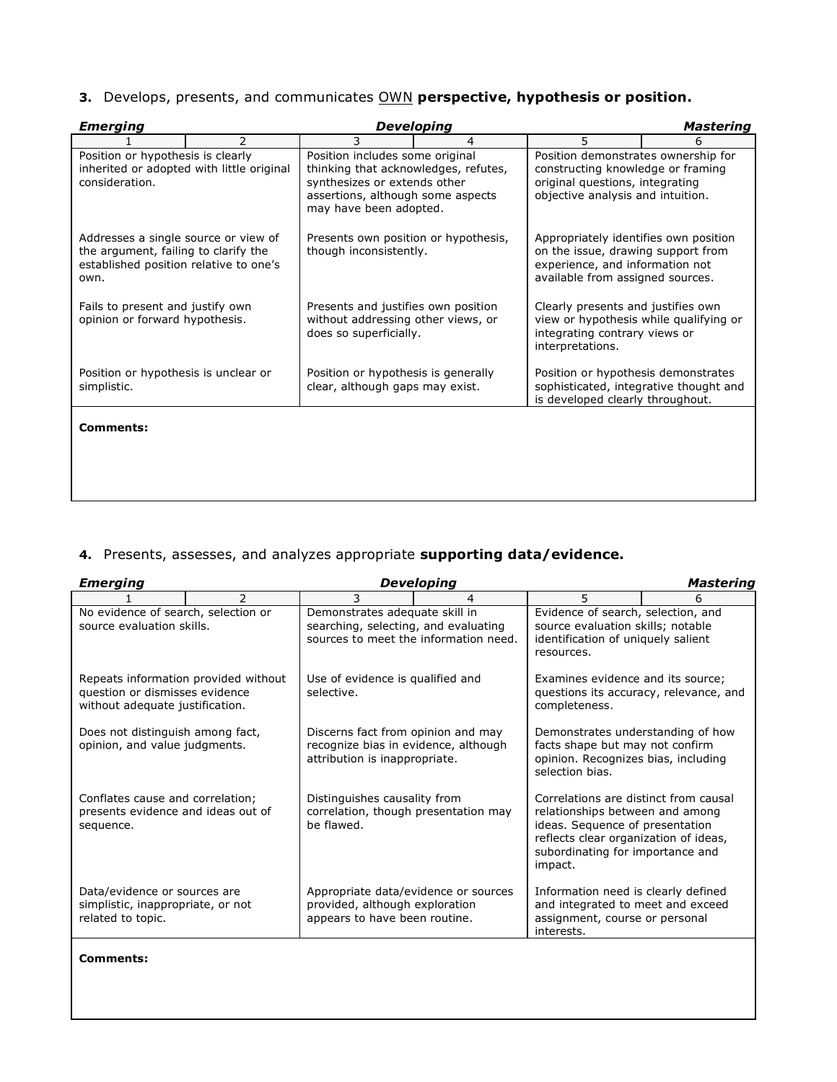|  |  | 3. Develops, presents, and communicates OWN perspective, hypothesis or position. |  |  |  |  |
|--|--|----------------------------------------------------------------------------------|--|--|--|--|
|--|--|----------------------------------------------------------------------------------|--|--|--|--|

| <b>Emerging</b>                                                                                                                |               |                                                                                                                                                                        | Developing |                                                                                                                                                    | <b>Mastering</b> |
|--------------------------------------------------------------------------------------------------------------------------------|---------------|------------------------------------------------------------------------------------------------------------------------------------------------------------------------|------------|----------------------------------------------------------------------------------------------------------------------------------------------------|------------------|
|                                                                                                                                | $\mathcal{P}$ | 3                                                                                                                                                                      | 4          | 5                                                                                                                                                  | 6                |
| Position or hypothesis is clearly<br>inherited or adopted with little original<br>consideration.                               |               | Position includes some original<br>thinking that acknowledges, refutes,<br>synthesizes or extends other<br>assertions, although some aspects<br>may have been adopted. |            | Position demonstrates ownership for<br>constructing knowledge or framing<br>original questions, integrating<br>objective analysis and intuition.   |                  |
| Addresses a single source or view of<br>the argument, failing to clarify the<br>established position relative to one's<br>own. |               | Presents own position or hypothesis,<br>though inconsistently.                                                                                                         |            | Appropriately identifies own position<br>on the issue, drawing support from<br>experience, and information not<br>available from assigned sources. |                  |
| Fails to present and justify own<br>opinion or forward hypothesis.                                                             |               | Presents and justifies own position<br>without addressing other views, or<br>does so superficially.                                                                    |            | Clearly presents and justifies own<br>view or hypothesis while qualifying or<br>integrating contrary views or<br>interpretations.                  |                  |
| Position or hypothesis is unclear or<br>simplistic.                                                                            |               | Position or hypothesis is generally<br>clear, although gaps may exist.                                                                                                 |            | Position or hypothesis demonstrates<br>sophisticated, integrative thought and<br>is developed clearly throughout.                                  |                  |
| <b>Comments:</b>                                                                                                               |               |                                                                                                                                                                        |            |                                                                                                                                                    |                  |
|                                                                                                                                |               |                                                                                                                                                                        |            |                                                                                                                                                    |                  |

# **4.** Presents, assesses, and analyzes appropriate **supporting data/evidence.**

| <b>Emerging</b>                                                                                           |               |                                                                                                                 | <b>Developing</b> |                                                                                                                                                                                                     | Mastering |
|-----------------------------------------------------------------------------------------------------------|---------------|-----------------------------------------------------------------------------------------------------------------|-------------------|-----------------------------------------------------------------------------------------------------------------------------------------------------------------------------------------------------|-----------|
|                                                                                                           | $\mathcal{P}$ | 3                                                                                                               | 4                 | 5.                                                                                                                                                                                                  | 6         |
| No evidence of search, selection or<br>source evaluation skills.                                          |               | Demonstrates adequate skill in<br>searching, selecting, and evaluating<br>sources to meet the information need. |                   | Evidence of search, selection, and<br>source evaluation skills; notable<br>identification of uniquely salient<br>resources.                                                                         |           |
| Repeats information provided without<br>question or dismisses evidence<br>without adequate justification. |               | Use of evidence is qualified and<br>selective.                                                                  |                   | Examines evidence and its source;<br>questions its accuracy, relevance, and<br>completeness.                                                                                                        |           |
| Does not distinguish among fact,<br>opinion, and value judgments.                                         |               | Discerns fact from opinion and may<br>recognize bias in evidence, although<br>attribution is inappropriate.     |                   | Demonstrates understanding of how<br>facts shape but may not confirm<br>opinion. Recognizes bias, including<br>selection bias.                                                                      |           |
| Conflates cause and correlation;<br>presents evidence and ideas out of<br>sequence.                       |               | Distinguishes causality from<br>correlation, though presentation may<br>be flawed.                              |                   | Correlations are distinct from causal<br>relationships between and among<br>ideas. Sequence of presentation<br>reflects clear organization of ideas,<br>subordinating for importance and<br>impact. |           |
| Data/evidence or sources are<br>simplistic, inappropriate, or not<br>related to topic.                    |               | Appropriate data/evidence or sources<br>provided, although exploration<br>appears to have been routine.         |                   | Information need is clearly defined<br>and integrated to meet and exceed<br>assignment, course or personal<br>interests.                                                                            |           |

**Comments:**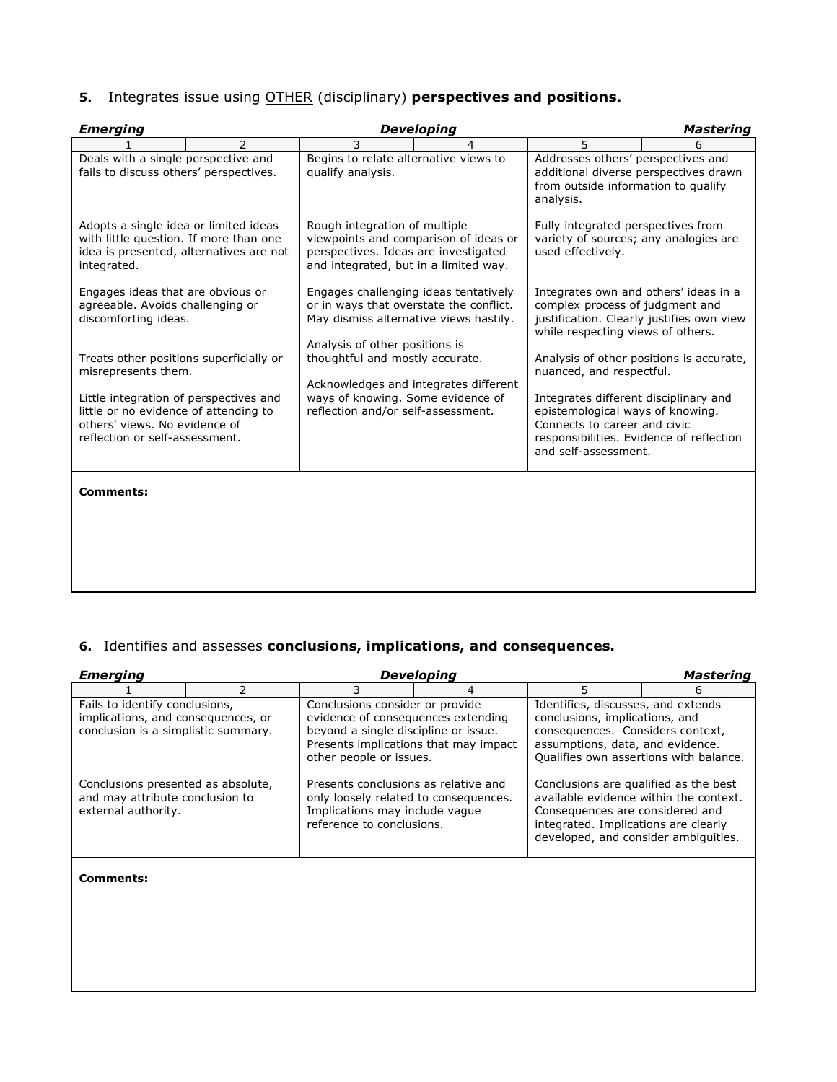### **5.** Integrates issue using OTHER (disciplinary) **perspectives and positions.**

| <b>Emerging</b>                                                                                                                                    |                |                                                                                                                                                              | <b>Developing</b> |                                                                                                                                                                               | <b>Mastering</b>                          |
|----------------------------------------------------------------------------------------------------------------------------------------------------|----------------|--------------------------------------------------------------------------------------------------------------------------------------------------------------|-------------------|-------------------------------------------------------------------------------------------------------------------------------------------------------------------------------|-------------------------------------------|
|                                                                                                                                                    | $\overline{2}$ | 3                                                                                                                                                            | 4                 | 5                                                                                                                                                                             | 6                                         |
| Deals with a single perspective and<br>fails to discuss others' perspectives.                                                                      |                | Begins to relate alternative views to<br>qualify analysis.                                                                                                   |                   | Addresses others' perspectives and<br>additional diverse perspectives drawn<br>from outside information to qualify<br>analysis.                                               |                                           |
| Adopts a single idea or limited ideas<br>with little question. If more than one<br>idea is presented, alternatives are not<br>integrated.          |                | Rough integration of multiple<br>viewpoints and comparison of ideas or<br>perspectives. Ideas are investigated<br>and integrated, but in a limited way.      |                   | Fully integrated perspectives from<br>variety of sources; any analogies are<br>used effectively.                                                                              |                                           |
| Engages ideas that are obvious or<br>agreeable. Avoids challenging or<br>discomforting ideas.                                                      |                | Engages challenging ideas tentatively<br>or in ways that overstate the conflict.<br>May dismiss alternative views hastily.<br>Analysis of other positions is |                   | Integrates own and others' ideas in a<br>complex process of judgment and<br>while respecting views of others.                                                                 | justification. Clearly justifies own view |
| Treats other positions superficially or<br>misrepresents them.                                                                                     |                | thoughtful and mostly accurate.<br>Acknowledges and integrates different                                                                                     |                   | nuanced, and respectful.                                                                                                                                                      | Analysis of other positions is accurate,  |
| Little integration of perspectives and<br>little or no evidence of attending to<br>others' views. No evidence of<br>reflection or self-assessment. |                | ways of knowing. Some evidence of<br>reflection and/or self-assessment.                                                                                      |                   | Integrates different disciplinary and<br>epistemological ways of knowing.<br>Connects to career and civic<br>responsibilities. Evidence of reflection<br>and self-assessment. |                                           |
| <b>Comments:</b>                                                                                                                                   |                |                                                                                                                                                              |                   |                                                                                                                                                                               |                                           |
|                                                                                                                                                    |                |                                                                                                                                                              |                   |                                                                                                                                                                               |                                           |
|                                                                                                                                                    |                |                                                                                                                                                              |                   |                                                                                                                                                                               |                                           |
|                                                                                                                                                    |                |                                                                                                                                                              |                   |                                                                                                                                                                               |                                           |

### **6.** Identifies and assesses **conclusions, implications, and consequences.**

| Developing<br>Emerging<br>Mastering                                                                         |                                                                                                                                                                                    |                                                                                                                                                                                   |   |                                                                                                                                                                                                    |   |  |  |
|-------------------------------------------------------------------------------------------------------------|------------------------------------------------------------------------------------------------------------------------------------------------------------------------------------|-----------------------------------------------------------------------------------------------------------------------------------------------------------------------------------|---|----------------------------------------------------------------------------------------------------------------------------------------------------------------------------------------------------|---|--|--|
|                                                                                                             | 2                                                                                                                                                                                  | 3                                                                                                                                                                                 | 4 | 5                                                                                                                                                                                                  | 6 |  |  |
| Fails to identify conclusions,<br>implications, and consequences, or<br>conclusion is a simplistic summary. |                                                                                                                                                                                    | Conclusions consider or provide<br>evidence of consequences extending<br>beyond a single discipline or issue.<br>Presents implications that may impact<br>other people or issues. |   | Identifies, discusses, and extends<br>conclusions, implications, and<br>consequences. Considers context,<br>assumptions, data, and evidence.<br>Qualifies own assertions with balance.             |   |  |  |
| and may attribute conclusion to<br>external authority.                                                      | Conclusions presented as absolute,<br>Presents conclusions as relative and<br>only loosely related to consequences.<br>Implications may include vague<br>reference to conclusions. |                                                                                                                                                                                   |   | Conclusions are qualified as the best<br>available evidence within the context.<br>Consequences are considered and<br>integrated. Implications are clearly<br>developed, and consider ambiguities. |   |  |  |
| Comments:                                                                                                   |                                                                                                                                                                                    |                                                                                                                                                                                   |   |                                                                                                                                                                                                    |   |  |  |
|                                                                                                             |                                                                                                                                                                                    |                                                                                                                                                                                   |   |                                                                                                                                                                                                    |   |  |  |